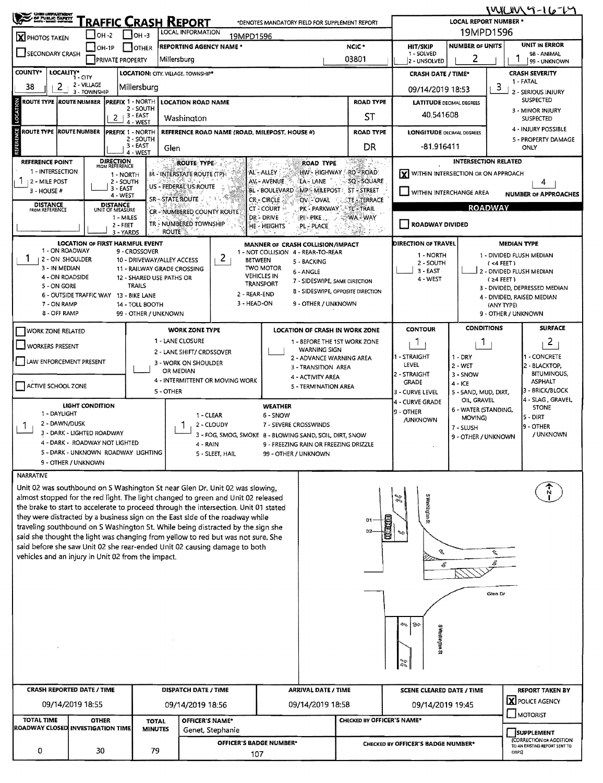| <b>CHRO LIEFARTMION</b><br>OF PUBLIC SAFETY                  |                             |                                                         | 1416147-16-17<br><b>LOCAL REPORT NUMBER *</b> |                                                                                                                                                                   |                                                                                                       |                               |                                                                                                         |                                                   |                                          |  |  |  |
|--------------------------------------------------------------|-----------------------------|---------------------------------------------------------|-----------------------------------------------|-------------------------------------------------------------------------------------------------------------------------------------------------------------------|-------------------------------------------------------------------------------------------------------|-------------------------------|---------------------------------------------------------------------------------------------------------|---------------------------------------------------|------------------------------------------|--|--|--|
|                                                              | $IOH -2$                    | RAFFIC CRASH REPORT<br>$IOH - 3$                        |                                               | 19MPD1596                                                                                                                                                         |                                                                                                       |                               |                                                                                                         |                                                   |                                          |  |  |  |
| <b>X</b> PHOTOS TAKEN                                        | OH-1P                       | <b>OTHER</b>                                            |                                               | 19MPD1596<br><b>REPORTING AGENCY NAME *</b>                                                                                                                       |                                                                                                       | NCIC <sup>*</sup>             | <b>HIT/SKIP</b>                                                                                         | UNIT IN ERROR<br><b>NUMBER OF UNITS</b>           |                                          |  |  |  |
| SECONDARY CRASH                                              |                             | <b>PRIVATE PROPERTY</b>                                 |                                               | Millersburg                                                                                                                                                       | 03801                                                                                                 | 1 - SOLVED<br>2 - UNSOLVED    | 2                                                                                                       | 98 - ANIMAL<br>99 - UNKNOWN                       |                                          |  |  |  |
| <b>COUNTY*</b><br>LOCALITY*                                  | $1 - CITY$                  |                                                         |                                               | LOCATION: CITY, VILLAGE, TOWNSHIP*                                                                                                                                |                                                                                                       |                               | <b>CRASH DATE / TIME*</b>                                                                               |                                                   | <b>CRASH SEVERITY</b>                    |  |  |  |
| 38<br>2                                                      | 2 - VILLAGE<br>3 - TOWNSHIP | Millersburg                                             |                                               |                                                                                                                                                                   |                                                                                                       |                               | 09/14/2019 18:53                                                                                        |                                                   | 1 - FATAL<br>3<br>2 - SERIOUS INJURY     |  |  |  |
| ROUTE TYPE  ROUTE NUMBER                                     |                             | <b>PREFIX 1 - NORTH</b>                                 |                                               | <b>LOCATION ROAD NAME</b>                                                                                                                                         |                                                                                                       | <b>ROAD TYPE</b>              | <b>LATITUDE DECIMAL DEGREES</b>                                                                         |                                                   | <b>SUSPECTED</b>                         |  |  |  |
| LOCATION                                                     |                             | 2 - SOUTH<br>3 - EAST<br>2<br>4 - WEST                  |                                               | Washington                                                                                                                                                        |                                                                                                       | SТ                            |                                                                                                         | 3 - MINOR INJURY<br>40.541608<br><b>SUSPECTED</b> |                                          |  |  |  |
| <b>ERENCE</b><br><b>ROUTE TYPE</b><br><b>ROUTE NUMBER</b>    |                             | <b>PREFIX 1 - NORTH</b>                                 |                                               | REFERENCE ROAD NAME (ROAD, MILEPOST, HOUSE #)                                                                                                                     |                                                                                                       | <b>ROAD TYPE</b>              | <b>LONGITUDE DECIMAL DEGREES</b>                                                                        |                                                   | 4 - INJURY POSSIBLE                      |  |  |  |
|                                                              |                             | 2 - SOUTH<br>3 - EAST                                   | Glen                                          |                                                                                                                                                                   |                                                                                                       | DR                            | -81.916411                                                                                              |                                                   | 5 - PROPERTY DAMAGE<br>ONLY              |  |  |  |
| <b>REFERENCE POINT</b>                                       |                             | 4 - WEST<br><b>DIRECTION</b><br>FROM REFERENCE          |                                               | <b>ROUTE TYPE</b>                                                                                                                                                 | <b>ROAD TYPE</b>                                                                                      | 1999 - P                      |                                                                                                         | <b>INTERSECTION RELATED</b>                       |                                          |  |  |  |
| 1 - INTERSECTION                                             |                             | 1 - NORTH                                               |                                               | IR - INTERSTATE ROUTE (TP)                                                                                                                                        | HW - HIGHWAY - RD - ROAD<br>AL-ALLEY                                                                  |                               | <b>Y</b> WITHIN INTERSECTION OR ON APPROACH                                                             |                                                   |                                          |  |  |  |
| 2 - MILE POST<br>3 - HOUSE #                                 |                             | 2 - SOUTH<br>3 - EAST                                   |                                               | US - FEDERAL US ROUTE                                                                                                                                             | AV - AVENUE<br>LA - LANE<br>BL - BOULEVARD<br><b>MP-MILEPOST ST-STREET</b>                            | SQ-SQUARE                     | WITHIN INTERCHANGE AREA                                                                                 |                                                   | 4<br><b>NUMBER OF APPROACHES</b>         |  |  |  |
| <b>DISTANCE</b>                                              |                             | 4 - WEST<br><b>DISTANCE</b>                             | <b>SR-STATE ROUTE</b>                         |                                                                                                                                                                   | CR - CIRCLE<br>OV-OVAL<br>CT-COURT<br>PK - PARKWAY                                                    | TE - TERRACE<br>$-TL - TRAIL$ |                                                                                                         | <b>ROADWAY</b>                                    |                                          |  |  |  |
| FROM REFERENCE                                               |                             | UNIT OF MEASURE<br>1 - MILES                            |                                               | CR - NUMBERED COUNTY ROUTE                                                                                                                                        | DR - DRIVE<br>$PL-PIKE$                                                                               | WA-WAY                        |                                                                                                         |                                                   |                                          |  |  |  |
|                                                              |                             | 2 - FEET<br>3 - YARDS                                   | <b>ROUTE</b>                                  | TR - NUMBERED TOWNSHIP                                                                                                                                            | HE - HEIGHTS<br>PL-PLACE.                                                                             |                               | ROADWAY DIVIDED                                                                                         |                                                   |                                          |  |  |  |
| 1 - ON ROADWAY                                               |                             | <b>LOCATION OF FIRST HARMFUL EVENT</b><br>9 - CROSSOVER |                                               |                                                                                                                                                                   | MANNER OF CRASH COLLISION/IMPACT<br>1 - NOT COLLISION 4 - REAR-TO-REAR                                |                               | <b>DIRECTION OF TRAVEL</b>                                                                              |                                                   | <b>MEDIAN TYPE</b>                       |  |  |  |
| ı<br>2 - ON SHOULDER                                         |                             | 10 - DRIVEWAY/ALLEY ACCESS                              |                                               | 2<br><b>BETWEEN</b>                                                                                                                                               | 5 - BACKING                                                                                           |                               | 1 - NORTH<br>2 - SOUTH                                                                                  |                                                   | 1 - DIVIDED FLUSH MEDIAN<br>$(4$ FEET)   |  |  |  |
| 3 - IN MEDIAN<br>4 - ON ROADSIDE                             |                             | 11 - RAILWAY GRADE CROSSING<br>12 - SHARED USE PATHS OR |                                               | <b>VEHICLES IN</b>                                                                                                                                                | <b>TWO MOTOR</b><br>6 - ANGLE<br>7 - SIDESWIPE, SAME DIRECTION                                        |                               | $3 - EAST$<br>4 - WEST                                                                                  |                                                   | 2 - DIVIDED FLUSH MEDIAN<br>$(24$ FEET)  |  |  |  |
| 5 - ON GORE<br>6 - OUTSIDE TRAFFIC WAY 13 - BIKE LANE        |                             | <b>TRAILS</b>                                           |                                               | <b>TRANSPORT</b><br>2 - REAR-END                                                                                                                                  | 8 - SIDESWIPE, OPPOSITE DIRECTION                                                                     |                               |                                                                                                         |                                                   | 3 - DIVIDED, DEPRESSED MEDIAN            |  |  |  |
| 7 - ON RAMP                                                  |                             | 14 - TOLL BOOTH                                         |                                               | 3 - HEAD-ON                                                                                                                                                       | 9 - OTHER / UNKNOWN                                                                                   |                               |                                                                                                         |                                                   | 4 - DIVIDED, RAISED MEDIAN<br>(ANY TYPE) |  |  |  |
| 8 - OFF RAMP                                                 |                             | 99 - OTHER / UNKNOWN                                    |                                               |                                                                                                                                                                   |                                                                                                       |                               |                                                                                                         |                                                   | 9 - OTHER / UNKNOWN                      |  |  |  |
| <b>WORK ZONE RELATED</b>                                     |                             |                                                         |                                               | <b>WORK ZONE TYPE</b>                                                                                                                                             | <b>LOCATION OF CRASH IN WORK ZONE</b>                                                                 |                               | <b>CONTOUR</b>                                                                                          | <b>CONDITIONS</b>                                 | <b>SURFACE</b><br>$\overline{2}$         |  |  |  |
| WORKERS PRESENT                                              |                             |                                                         |                                               | 1 - LANE CLOSURE<br>2 - LANE SHIFT/ CROSSOVER                                                                                                                     | 1 - BEFORE THE 1ST WORK ZONE<br><b>WARNING SIGN</b>                                                   |                               | 1<br>٦.                                                                                                 |                                                   |                                          |  |  |  |
| LAW ENFORCEMENT PRESENT                                      |                             |                                                         |                                               | 3 - WORK ON SHOULDER                                                                                                                                              | 2 - ADVANCE WARNING AREA<br>3 - TRANSITION AREA                                                       |                               | 1 - STRAIGHT<br>- CONCRETE<br>1 - DRY<br>LEVEL<br>2 - BLACKTOP,<br>2 - WET                              |                                                   |                                          |  |  |  |
|                                                              |                             |                                                         |                                               | OR MEDIAN<br>4 - INTERMITTENT OR MOVING WORK                                                                                                                      | 4 - ACTIVITY AREA<br>5 - TERMINATION AREA                                                             |                               | 2 - STRAIGHT<br><b>GRADE</b>                                                                            | $3 - SNOW$<br>$4 - ICE$                           | <b>BITUMINOUS,</b><br><b>ASPHALT</b>     |  |  |  |
| ACTIVE SCHOOL ZONE                                           |                             |                                                         | 5 - OTHER                                     |                                                                                                                                                                   | 3 - BRICK/BLOCK<br>5 - SAND, MUD, DIRT,<br>4 - SLAG , GRAVEL                                          |                               |                                                                                                         |                                                   |                                          |  |  |  |
| 1 - DAYLIGHT                                                 | LIGHT CONDITION             |                                                         |                                               |                                                                                                                                                                   | OIL, GRAVEL<br>4 - CURVE GRADE<br><b>WEATHER</b><br><b>STONE</b><br>6 - WATER (STANDING,<br>9 - OTHER |                               |                                                                                                         |                                                   |                                          |  |  |  |
| 2 - DAWN/DUSK<br>J.                                          |                             |                                                         |                                               | 1 - CLEAR<br>2 - CLOUDY                                                                                                                                           | 6 - SNOW<br>7 - SEVERE CROSSWINDS                                                                     |                               | 5 - DIRT<br>MOVING)<br><b>JUNKNOWN</b><br>19 - OTHER<br>7 - SLUSH                                       |                                                   |                                          |  |  |  |
| 3 - DARK - LIGHTED ROADWAY<br>4 - DARK - ROADWAY NOT LIGHTED |                             |                                                         |                                               |                                                                                                                                                                   | / UNKNOWN<br>3 - FOG, SMOG, SMOKE 8 - BLOWING SAND, SOIL, DIRT, SNOW<br>9 - OTHER / UNKNOWN           |                               |                                                                                                         |                                                   |                                          |  |  |  |
| 5 - DARK - UNKNOWN ROADWAY LIGHTING                          |                             |                                                         |                                               | 4 - RAIN<br>5 - SLEET, HAIL                                                                                                                                       | 9 - FREEZING RAIN OR FREEZING DRIZZLE<br>99 - OTHER / UNKNOWN                                         |                               |                                                                                                         |                                                   |                                          |  |  |  |
| 9 - OTHER / UNKNOWN                                          |                             |                                                         |                                               |                                                                                                                                                                   |                                                                                                       |                               |                                                                                                         |                                                   |                                          |  |  |  |
| <b>NARRATIVE</b>                                             |                             |                                                         |                                               |                                                                                                                                                                   |                                                                                                       |                               |                                                                                                         |                                                   |                                          |  |  |  |
|                                                              |                             |                                                         |                                               | Unit 02 was southbound on S Washington St near Glen Dr. Unit 02 was slowing,<br>almost stopped for the red light. The light changed to green and Unit 02 released |                                                                                                       |                               | Z                                                                                                       |                                                   |                                          |  |  |  |
|                                                              |                             |                                                         |                                               | the brake to start to accelerate to proceed through the intersection. Unit 01 stated                                                                              |                                                                                                       |                               | C Washington                                                                                            |                                                   |                                          |  |  |  |
|                                                              |                             |                                                         |                                               | they were distracted by a business sign on the East side of the roadway while<br>traveling southbound on S Washington St. While being distracted by the sign she  |                                                                                                       | o٦<br>02                      | 9                                                                                                       |                                                   |                                          |  |  |  |
|                                                              |                             |                                                         |                                               | said she thought the light was changing from yellow to red but was not sure. She                                                                                  |                                                                                                       |                               |                                                                                                         |                                                   |                                          |  |  |  |
| vehicles and an injury in Unit 02 from the impact.           |                             |                                                         |                                               | said before she saw Unit 02 she rear-ended Unit 02 causing damage to both                                                                                         |                                                                                                       |                               | s,                                                                                                      |                                                   | Ŷ,                                       |  |  |  |
|                                                              |                             |                                                         |                                               |                                                                                                                                                                   |                                                                                                       |                               | В                                                                                                       |                                                   |                                          |  |  |  |
|                                                              |                             |                                                         |                                               |                                                                                                                                                                   |                                                                                                       |                               |                                                                                                         |                                                   |                                          |  |  |  |
|                                                              |                             |                                                         |                                               |                                                                                                                                                                   |                                                                                                       |                               |                                                                                                         |                                                   | Glen Dr                                  |  |  |  |
|                                                              |                             |                                                         |                                               |                                                                                                                                                                   |                                                                                                       |                               |                                                                                                         |                                                   |                                          |  |  |  |
|                                                              |                             |                                                         |                                               |                                                                                                                                                                   |                                                                                                       |                               | $\approx$ 120                                                                                           |                                                   |                                          |  |  |  |
|                                                              |                             |                                                         |                                               |                                                                                                                                                                   |                                                                                                       |                               | S notpales St                                                                                           |                                                   |                                          |  |  |  |
|                                                              |                             |                                                         |                                               |                                                                                                                                                                   |                                                                                                       |                               |                                                                                                         |                                                   |                                          |  |  |  |
|                                                              |                             |                                                         |                                               |                                                                                                                                                                   |                                                                                                       |                               | 窓                                                                                                       |                                                   |                                          |  |  |  |
| <b>CRASH REPORTED DATE / TIME</b>                            |                             |                                                         |                                               | DISPATCH DATE / TIME                                                                                                                                              | <b>ARRIVAL DATE / TIME</b>                                                                            |                               | SCENE CLEARED DATE / TIME                                                                               |                                                   | <b>REPORT TAKEN BY</b>                   |  |  |  |
| 09/14/2019 18:55                                             |                             |                                                         |                                               | 09/14/2019 18:56                                                                                                                                                  | 09/14/2019 18:58                                                                                      |                               | 09/14/2019 19:45                                                                                        |                                                   | <b>X</b> POLICE AGENCY                   |  |  |  |
| <b>TOTAL TIME</b>                                            | <b>OTHER</b>                |                                                         | <b>TOTAL</b>                                  | <b>OFFICER'S NAME*</b>                                                                                                                                            |                                                                                                       | CHECKED BY OFFICER'S NAME*    |                                                                                                         |                                                   | MOTORIST                                 |  |  |  |
| ROADWAY CLOSED INVESTIGATION TIME                            |                             |                                                         | <b>MINUTES</b>                                | Genet, Stephanie                                                                                                                                                  |                                                                                                       |                               |                                                                                                         |                                                   | <b>SUPPLEMENT</b>                        |  |  |  |
| 0                                                            | 30                          |                                                         | 79                                            | OFFICER'S BADGE NUMBER*<br>107                                                                                                                                    |                                                                                                       |                               | (CORRECTION OR ADDITION<br>CHECKED BY OFFICER'S BADGE NUMBER*<br>TO AN EXISTING REPORT SENT TO<br>ODPS) |                                                   |                                          |  |  |  |

107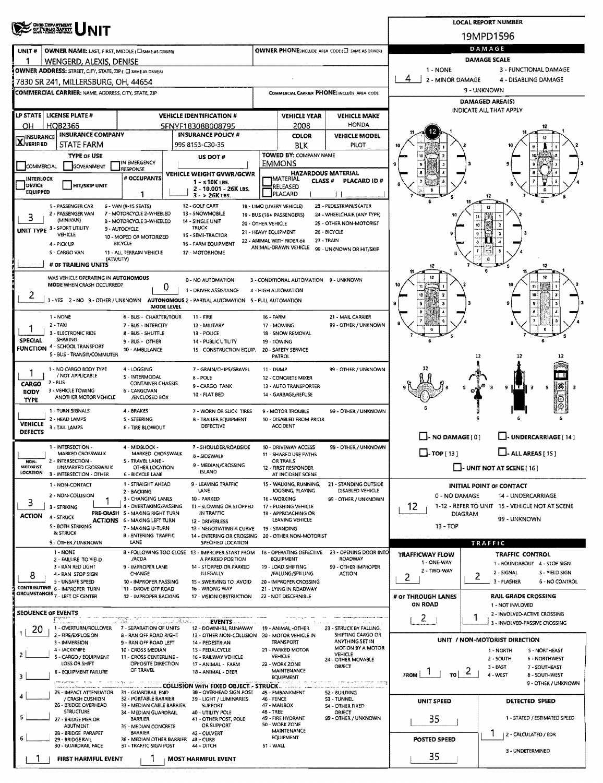|                                                                                                                                                     |                                                                       |                                            |                                                         |                                                                   |                                               | <b>LOCAL REPORT NUMBER</b>                                         |  |  |  |  |
|-----------------------------------------------------------------------------------------------------------------------------------------------------|-----------------------------------------------------------------------|--------------------------------------------|---------------------------------------------------------|-------------------------------------------------------------------|-----------------------------------------------|--------------------------------------------------------------------|--|--|--|--|
| <b>OHIO DEPARTMENT</b><br>OF PUBLIC BAFETY                                                                                                          |                                                                       |                                            |                                                         |                                                                   | 19MPD1596                                     |                                                                    |  |  |  |  |
| UNIT#<br>OWNER NAME: LAST, FIRST, MIDDLE (CI SAME AS DRIVER)                                                                                        |                                                                       |                                            |                                                         | <b>OWNER PHONE: INCLUDE AREA CODE (E) SAME AS DRIVERY</b>         |                                               | DAMAGE                                                             |  |  |  |  |
| 1<br>WENGERD, ALEXIS, DENISE                                                                                                                        |                                                                       |                                            |                                                         |                                                                   | DAMAGE SCALE                                  |                                                                    |  |  |  |  |
| OWNER ADDRESS: STREET, CITY, STATE, ZIP ( C SAME AS DRIVER)                                                                                         |                                                                       |                                            |                                                         |                                                                   | 1 - NONE                                      | 3 - FUNCTIONAL DAMAGE                                              |  |  |  |  |
| 7830 SR 241, MILLERSBURG, OH, 44654                                                                                                                 |                                                                       |                                            |                                                         |                                                                   | 4<br>2 - MINOR DAMAGE<br>4 - DISABLING DAMAGE |                                                                    |  |  |  |  |
| <b>COMMERCIAL CARRIER: NAME, ADDRESS, CITY, STATE, ZIP</b>                                                                                          |                                                                       |                                            |                                                         | COMMERCIAL CARRIER PHONE: INCLUDE AREA CODE                       | 9 - UNKNOWN                                   |                                                                    |  |  |  |  |
|                                                                                                                                                     |                                                                       |                                            |                                                         |                                                                   |                                               | <b>DAMAGED AREA(S)</b><br>INDICATE ALL THAT APPLY                  |  |  |  |  |
| LP STATE   LICENSE PLATE #                                                                                                                          | <b>VEHICLE IDENTIFICATION #</b>                                       |                                            | <b>VEHICLE YEAR</b>                                     | <b>VEHICLE MAKE</b>                                               |                                               |                                                                    |  |  |  |  |
| HQB2366<br>OН<br><b>INSURANCE COMPANY</b>                                                                                                           | 5FNYF18308B008795<br><b>INSURANCE POLICY #</b>                        |                                            | 2008<br><b>COLOR</b>                                    | <b>HONDA</b><br><b>VEHICLE MODEL</b>                              |                                               |                                                                    |  |  |  |  |
| <b>INSURANCE</b><br>XVERIFIED<br><b>STATE FARM</b>                                                                                                  | 995 8153-C30-35                                                       |                                            | <b>BLK</b>                                              | PILOT                                                             |                                               |                                                                    |  |  |  |  |
| <b>TYPE OF USE</b>                                                                                                                                  | US DOT #                                                              |                                            | <b>TOWED BY: COMPANY NAME</b>                           |                                                                   |                                               |                                                                    |  |  |  |  |
| IN EMERGENCY<br>COMMERCIAL<br><b>GOVERNMENT</b><br><b>RESPONSE</b>                                                                                  |                                                                       |                                            | <b>EMMONS</b>                                           |                                                                   |                                               |                                                                    |  |  |  |  |
| # OCCUPANTS<br><b>INTERLOCK</b>                                                                                                                     | VEHICLE WEIGHT GVWR/GCWR<br>$1 - 510K$ LBS.                           |                                            | <b>HAZARDOUS MATERIAL</b><br>IMATERIAL<br><b>CLASS#</b> | PLACARD ID#                                                       |                                               |                                                                    |  |  |  |  |
| DEVICE<br><b>HIT/SKIP UNIT</b><br><b>EQUIPPED</b><br>1                                                                                              | 2 - 10.001 - 26K LBS.<br>3 - > 26K LBS.                               |                                            | RELEASED<br>PLACARD                                     |                                                                   |                                               |                                                                    |  |  |  |  |
| 1 - PASSENGER CAR<br>6 - VAN (9-15 SEATS)                                                                                                           | 12 - GOLF CART                                                        |                                            | 18 - LIMO (LIVERY VEHICLE)                              | 23 - PEDESTRIAN/SKATER                                            |                                               |                                                                    |  |  |  |  |
| 2 - PASSENGER VAN<br>7 - MOTORCYCLE 2-WHEELED<br>3<br>(MINIVAN)<br>8 - MOTORCYCLE 3-WHEELED                                                         | 13 - SNOWMOBILE<br>14 - SINGLE UNIT                                   |                                            | 19 - BUS (16+ PASSENGERS)                               | 24 - WHEELCHAIR (ANY TYPE)                                        |                                               |                                                                    |  |  |  |  |
| UNIT TYPE 3 - SPORT UTILITY<br>9 - AUTOCYCLE                                                                                                        | <b>TRUCK</b>                                                          | 20 - OTHER VEHICLE<br>21 - HEAVY EQUIPMENT |                                                         | 25 - OTHER NON-MOTORIST<br>26 - BICYCLE                           |                                               | 10                                                                 |  |  |  |  |
| VEHICLE<br>10 - MOPED OR MOTORIZED<br>BICYCLE<br>4 - PICK UP                                                                                        | 1S - SEMI-TRACTOR<br>16 - FARM EQUIPMENT                              |                                            | 22 - ANIMAL WITH RIDER OR                               | 27 - TRAIN                                                        |                                               |                                                                    |  |  |  |  |
| <b>S - CARGO VAN</b><br>11 - ALL TERRAIN VEHICLE                                                                                                    | 17 MOTORHOME                                                          |                                            | ANIMAL-DRAWN VEHICLE                                    | 99 - UNKNOWN OR HIT/SKIP                                          |                                               |                                                                    |  |  |  |  |
| (ATV/UTV)<br># OF TRAILING UNITS                                                                                                                    |                                                                       |                                            |                                                         |                                                                   |                                               | 6                                                                  |  |  |  |  |
| WAS VEHICLE OPERATING IN AUTONOMOUS                                                                                                                 | 0 - NO AUTOMATION                                                     |                                            | 3 - CONDITIONAL AUTOMATION 9 - UNKNOWN                  |                                                                   |                                               | 12                                                                 |  |  |  |  |
| MODE WHEN CRASH OCCURRED?                                                                                                                           | 0<br>1 - DRIVER ASSISTANCE                                            |                                            | 4 - HIGH AUTOMATION                                     |                                                                   |                                               |                                                                    |  |  |  |  |
| 2<br>1 - YES 2 - NO 9 - OTHER / UNKNOWN AUTONOMOUS 2 - PARTIAL AUTOMATION 5 - FULL AUTOMATION                                                       |                                                                       |                                            |                                                         |                                                                   | 9                                             | 10                                                                 |  |  |  |  |
| 1 - NONE<br>6 - BUS - CHARTER/TOUR                                                                                                                  | MODE LEVEL<br>11 - FIRE                                               | <b>16 - FARM</b>                           |                                                         | 21 - MAIL CARRIER                                                 |                                               | a                                                                  |  |  |  |  |
| $2 - TAX$<br>7 - BUS - INTERCITY                                                                                                                    | 12 - MILITARY                                                         |                                            | 17 - MOWING                                             | 99 - OTHER / UNKNOWN                                              |                                               |                                                                    |  |  |  |  |
| 3 - ELECTRONIC RIDE<br><b>8 - BUS - SHUTTLE</b><br><b>SHARING</b><br><b>SPECIAL</b><br>9 - BUS - OTHER                                              | 13 - POLICE<br><b>14 - PUBLIC UTILITY</b>                             | 19 - TOWING                                | 18 - SNOW REMOVAL                                       |                                                                   |                                               |                                                                    |  |  |  |  |
| <b>FUNCTION 4 - SCHOOL TRANSPORT</b><br>10 - AMBULANCE                                                                                              | 15 - CONSTRUCTION EQUIP.                                              |                                            | 20 - SAFETY SERVICE                                     |                                                                   |                                               |                                                                    |  |  |  |  |
| 5 - BUS - TRANSIT/COMMUTER                                                                                                                          |                                                                       |                                            | <b>PATROL</b>                                           |                                                                   |                                               | 12<br>12                                                           |  |  |  |  |
| 1 - NO CARGO BODY TYPE<br>4 - LOGGING<br>1<br>/ NOT APPLICABLE<br>S - INTERMODAL                                                                    | 7 - GRAIN/CHIPS/GRAVEL<br>8 - POLE                                    | 11 - DUMP                                  | 12 - CONCRETE MIXER                                     | 99 - OTHER / UNKNOWN                                              |                                               |                                                                    |  |  |  |  |
| $2 - BUS$<br>CARGO<br><b>CONTAINER CHASSIS</b>                                                                                                      | 9 - CARGO TANK                                                        |                                            | 13 - AUTO TRANSPORTER                                   |                                                                   |                                               | 187<br>3<br>9<br>9                                                 |  |  |  |  |
| 3 - VEHICLE TOWING<br>6 - CARGOVAN<br><b>BODY</b><br>ANOTHER MOTOR VEHICLE<br>/ENCLOSED BOX<br><b>TYPE</b>                                          | 10 - FLAT BED                                                         |                                            | 14 - GARBAGE/REFUSE                                     |                                                                   |                                               |                                                                    |  |  |  |  |
| 1 - TURN SIGNALS<br>4 BRAKES                                                                                                                        | 7 - WORN OR SLICK TIRES                                               |                                            | 9 - MOTOR TROUBLE                                       | 99 - OTHER / UNKNOWN                                              |                                               |                                                                    |  |  |  |  |
| 2 - HEAD LAMPS<br>5 - STEERING<br><b>VEHICLE</b>                                                                                                    | <b>B - TRAILER EQUIPMENT</b><br>DEFECTIVE                             |                                            | 10 - DISABLED FROM PRIOR<br><b>ACCIDENT</b>             |                                                                   |                                               |                                                                    |  |  |  |  |
| 3 - TAIL LAMPS<br><b>6 - TIRE BLOWOUT</b><br><b>DEFECTS</b>                                                                                         |                                                                       |                                            |                                                         |                                                                   | $\Box$ - NO DAMAGE $\{0\}$                    | U-UNDERCARRIAGE [14]                                               |  |  |  |  |
| 1 - INTERSECTION -<br>4 - MIDBLOCK -                                                                                                                | 7 - SHOULDER/ROADSIDE                                                 |                                            | 10 - DRIVEWAY ACCESS                                    | 99 - OTHER / UNKNOWN                                              |                                               |                                                                    |  |  |  |  |
| MARKED CROSSWALK<br>MARKED CROSSWALK<br>2 - INTERSECTION -<br><b>S-TRAVEL LANE-</b><br>NON-                                                         | 8 - SIDEWALK                                                          |                                            | 11 - SHARED USE PATHS<br><b>OR TRAILS</b>               |                                                                   | $\Box$ - TOP [ 13 ]                           | $\Box$ - ALL AREAS [ 15 ]                                          |  |  |  |  |
| <b>MOTORIST</b><br><b>UNMARKED CROSSWALK</b><br>OTHER LOCATION<br><b>LOCATION</b><br>3 - INTERSECTION - OTHER<br><b>6 - BICYCLE LANE</b>            | 9 - MEDIAN/CROSSING<br><b>ISLAND</b>                                  |                                            | 12 - FIRST RESPONDER<br>AT INCIDENT SCENE               |                                                                   |                                               | <b>L.</b> UNIT NOT AT SCENE [ 16 ]                                 |  |  |  |  |
| 1 - STRAIGHT AHEAD<br>1 - NON-CONTACT                                                                                                               | 9 - LEAVING TRAFFIC                                                   |                                            | 15 - WALKING, RUNNING,                                  | 21 - STANDING OUTSIDE                                             |                                               | INITIAL POINT OF CONTACT                                           |  |  |  |  |
| 2 - BACKING<br>2 - NON-COLLISION                                                                                                                    | LANE<br>10 - PARKED                                                   |                                            | JOGGING, PLAYING<br>16 - WORKING                        | DISABLED VEHICLE                                                  | 0 - NO DAMAGE                                 | 14 - UNDERCARRIAGE                                                 |  |  |  |  |
| 3 - CHANGING LANES<br>3<br>4 - OVERTAKING/PASSING<br>3 - STRIKING                                                                                   | 11 - SLOWING OR STOPPED                                               |                                            | 17 - PUSHING VEHICLE                                    | 99 - OTHER / UNKNOWN                                              | 12.                                           | 1-12 - REFER TO UNIT 15 - VEHICLE NOT AT SCENE                     |  |  |  |  |
| PRE-CRASH S - MAKING RIGHT TURN<br><b>ACTION</b><br>4 - STRUCK<br><b>ACTIONS</b> 6 - MAKING LEFT TURN                                               | IN TRAFFIC<br>12 - DRIVERLESS                                         |                                            | 1B - APPROACHING OR<br>LEAVING VEHICLE                  |                                                                   | <b>DIAGRAM</b>                                | 99 - UNKNOWN                                                       |  |  |  |  |
| 5 - BOTH STRIKING<br>7 - MAKING U-TURN<br><b>&amp; STRUCK</b>                                                                                       | 13 - NEGOTIATING A CURVE                                              |                                            | 19 - STANDING                                           |                                                                   | $13 - TOP$                                    |                                                                    |  |  |  |  |
| <b>B - ENTERING TRAFFIC</b><br>LANE<br>9 - OTHER / UNKNOWN                                                                                          | 14 - ENTERING OR CROSSING<br>SPECIFIED LOCATION                       |                                            | 20 - OTHER NON-MOTORIST                                 |                                                                   |                                               | TRAFFIC                                                            |  |  |  |  |
| 1 - NONE<br>/ACDA<br>2 - FAILURE TO YIELD                                                                                                           | 8 - FOLLOWING TOO CLOSE 13 - IMPROPER START FROM<br>A PARKED POSITION |                                            | <b>EQUIPMENT</b>                                        | 18 - OPERATING DEFECTIVE 23 - OPENING DOOR INTO<br><b>ROADWAY</b> | <b>TRAFFICWAY FLOW</b>                        | <b>TRAFFIC CONTROL</b>                                             |  |  |  |  |
| 3 - RAN RED LIGHT<br>9 - IMPROPER LANE                                                                                                              | 14 - STOPPED OR PARKED                                                |                                            | 19 - LOAD SHIFTING                                      | 99 - OTHER IMPROPER                                               | 1 - ONE-WAY<br>2 - TWO-WAY                    | 1 - ROUNDABOUT 4 - STOP SIGN                                       |  |  |  |  |
| CHANGE<br>4 - RAN STOP SIGN<br>8<br>5 - UNSAFE SPEED<br>10 - IMPROPER PASSING                                                                       | <b>ILLEGALLY</b><br>15 - SWERVING TO AVOID                            |                                            | /FALLING/SPILLING<br>20 - IMPROPER CROSSING             | <b>ACTION</b>                                                     | 2                                             | 2 - SIGNAL<br>S - YIELD SIGN<br>2<br>3 - FLASHER<br>6 - NO CONTROL |  |  |  |  |
| CONTRIBUTING 6 - IMPROPER TURN<br>11 - DROVE OFF ROAD<br><b>CIRCUMSTANCES</b> 7 - LEFT OF CENTER                                                    | 16 - WRONG WAY                                                        |                                            | 21 - LYING IN ROADWAY                                   |                                                                   |                                               |                                                                    |  |  |  |  |
| 12 - IMPROPER BACKING                                                                                                                               | 17 - VISION OBSTRUCTION                                               |                                            | 22 - NOT DISCERNIBLE                                    |                                                                   | # OF THROUGH LANES<br>ON ROAD                 | <b>RAIL GRADE CROSSING</b><br>1 - NOT INVLOVED                     |  |  |  |  |
| SEOUENCE OF EVENTS                                                                                                                                  |                                                                       |                                            |                                                         |                                                                   | $\mathbf{Z}$                                  | 2 - INVOLVED-ACTIVE CROSSING<br>1                                  |  |  |  |  |
| L'ISA-le de l'Islamic de l'ISA (1919), l'ISA-le l'ISA-le de l'ISA-le <b>EVENTS</b> al la leg<br>1 - OVERTURN/ROLLOVER 7 - SEPARATION OF UNITS<br>20 | 12 - DOWNHILL RUNAWAY                                                 |                                            | 19 - ANIMAL -OTHER                                      | 23 - STRUCK BY FALLING.                                           |                                               | 3 - INVOLVED-PASSIVE CROSSING                                      |  |  |  |  |
| 2 - FIRE/EXPLOSION<br><b>8 - RAN OFF ROAD RIGHT</b><br>3 - IMMERSION<br>9 - RAN OFF ROAD LEFT                                                       | 13 - OTHER NON-COLLISION 20 - MOTOR VEHICLE IN<br>14 - PEDESTRIAN     |                                            | <b>TRANSPORT</b>                                        | SHIFTING CARGO OR<br>ANYTHING SET IN                              |                                               | UNIT / NON-MOTORIST DIRECTION                                      |  |  |  |  |
| 4 - JACKKNIFE<br>10 - CROSS MEDIAN<br>2                                                                                                             | 15 - PEDALCYCLE                                                       |                                            | 21 - PARKED MOTOR                                       | MOTION BY A MOTOR<br><b>VEHICLE</b>                               |                                               | 1 - NORTH<br>5 - NORTHEAST                                         |  |  |  |  |
| 5 - CARGO / EQUIPMENT<br>11 - CROSS CENTERLINE -<br>LOSS OR SHIFT<br>OPPOSITE DIRECTION                                                             | 16 - RAILWAY VEHICLE<br>17 - ANIMAL - FARM                            |                                            | <b>VEHICLE</b><br>22 - WORK ZONE                        | 24 - OTHER MOVABLE<br>OBJECT                                      |                                               | 2 - SOUTH<br><b>6 - NORTHWEST</b><br>3 - EAST<br>7 - SOUTHEAST     |  |  |  |  |
| OF TRAVEL<br>6 - EQUIPMENT FAILURE<br>3                                                                                                             | 18 - ANIMAL - DEER                                                    |                                            | <b>MAINTENANCE</b><br><b>EQUIPMENT</b>                  |                                                                   | $\epsilon$<br><b>FROM</b><br>τoΙ              | 4 - WEST<br>8 - SOUTHWEST                                          |  |  |  |  |
|                                                                                                                                                     | COLLISION WITH FIXED OBJECT - STRUCK                                  |                                            |                                                         |                                                                   |                                               | 9 - OTHER / UNKNOWN                                                |  |  |  |  |
| 25 - IMPACT ATTENUATOR 31 - GUARDRAIL END<br>/ CRASH CUSHION<br>32 - PORTABLE BARRIER                                                               | 38 - OVERHEAD SIGN POST<br>39 - LIGHT / LUMINARIES                    | <b>46 - FENCE</b>                          | 45 - EMBANKMENT                                         | 52 - BUILDING<br>53 - TUNNEL                                      | UNIT SPEED                                    | DETECTED SPEED                                                     |  |  |  |  |
| 26 - BRIDGE OVERHEAD<br>33 - MEDIAN CABLE BARRIER<br><b>STRUCTURE</b><br>34 - MEDIAN GUARDRAIL                                                      | <b>SUPPORT</b><br>40 - UTILITY POLE                                   | 47 - MAILBOX<br>48 - TREE                  |                                                         | 54 - OTHER FIXED<br>OBJECT                                        |                                               |                                                                    |  |  |  |  |
| 5<br><b>BARRIER</b><br>27 - BRIDGE PIER OR<br><b>ABUTMENT</b><br>35 - MEDIAN CONCRETE                                                               | 41 - OTHER POST, POLE<br>OR SUPPORT                                   |                                            | 49 - FIRE HYDRANT<br>50 - WORK ZONE                     | 99 - OTHER / UNKNOWN                                              | 35                                            | 1 - STATED / ESTIMATED SPEED                                       |  |  |  |  |
| <b>BARRIER</b><br>28 - 8RIDGE PARAPET                                                                                                               | 42 - CULVERT                                                          |                                            | MAINTENANCE<br>EQUIPMENT                                |                                                                   |                                               | 2 - CALCULATED / EDR                                               |  |  |  |  |
| 6<br>36 - MEDIAN OTHER BARRIER<br>29 - BRIDGE RAIL<br>30 - GUARDRAIL FACE<br>37 - TRAFFIC SIGN POST                                                 | 43 - CURB<br>44 - DITCH                                               | S1 - WALL                                  |                                                         |                                                                   | <b>POSTED SPEED</b>                           |                                                                    |  |  |  |  |
| FIRST HARMFUL EVENT                                                                                                                                 | <b>MOST HARMFUL EVENT</b>                                             |                                            |                                                         |                                                                   | 35                                            | 3 - UNDETERMINED                                                   |  |  |  |  |
|                                                                                                                                                     |                                                                       |                                            |                                                         |                                                                   |                                               |                                                                    |  |  |  |  |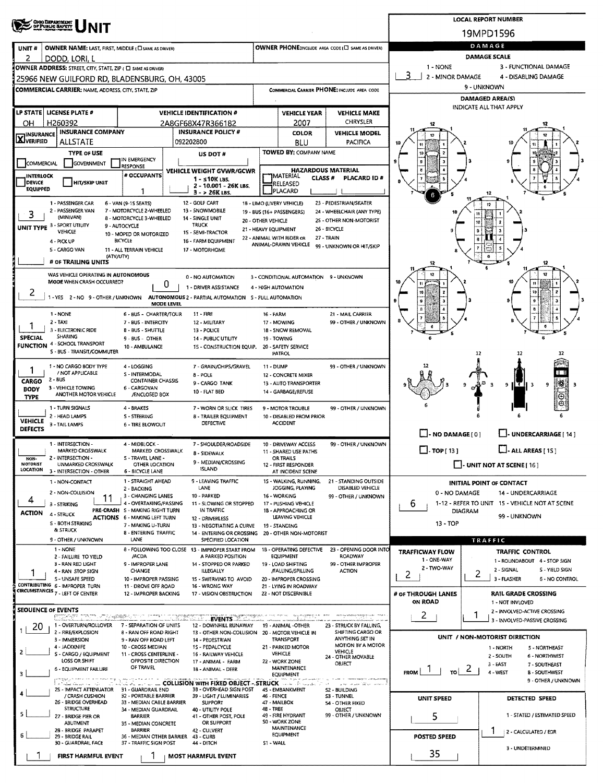| <b>CHOO DEPARTMENT</b><br>OF PUBLIC SAPETY                           |                                                                        | <b>LOCAL REPORT NUMBER</b>                                                            |                                            |                                               |                                              |                                              |                                                                    |  |  |  |  |  |
|----------------------------------------------------------------------|------------------------------------------------------------------------|---------------------------------------------------------------------------------------|--------------------------------------------|-----------------------------------------------|----------------------------------------------|----------------------------------------------|--------------------------------------------------------------------|--|--|--|--|--|
|                                                                      |                                                                        |                                                                                       | 19MPD1596                                  |                                               |                                              |                                              |                                                                    |  |  |  |  |  |
| <b>OWNER NAME: LAST, FIRST, MIDDLE (CI SAME AS DRIVER)</b><br>UNIT # |                                                                        |                                                                                       | DAMAGE                                     |                                               |                                              |                                              |                                                                    |  |  |  |  |  |
| 2<br>DODD, LORI, L                                                   |                                                                        |                                                                                       |                                            |                                               |                                              |                                              | <b>DAMAGE SCALE</b>                                                |  |  |  |  |  |
| OWNER ADDRESS: STREET, CITY, STATE, ZIP ( C) SAME AS DRIVER)         |                                                                        |                                                                                       |                                            |                                               |                                              | $1 - NONE$<br>3<br>2 - MINOR DAMAGE          | 3 - FUNCTIONAL DAMAGE<br>4 - DISABLING DAMAGE                      |  |  |  |  |  |
| 25966 NEW GUILFORD RD, BLADENSBURG, OH, 43005                        |                                                                        |                                                                                       |                                            |                                               | COMMERCIAL CARRIER PHONE: INCLUDE AREA CODE  | 9 - UNKNOWN                                  |                                                                    |  |  |  |  |  |
| <b>COMMERCIAL CARRIER: NAME, ADDRESS, CITY, STATE, ZIP</b>           |                                                                        |                                                                                       |                                            |                                               |                                              |                                              | <b>DAMAGED AREA(S)</b>                                             |  |  |  |  |  |
| LP STATE LICENSE PLATE #                                             |                                                                        | <b>VEHICLE IDENTIFICATION #</b>                                                       |                                            | <b>VEHICLE YEAR</b>                           | <b>VEHICLE MAKE</b>                          |                                              | INDICATE ALL THAT APPLY                                            |  |  |  |  |  |
| H260392<br>OН                                                        |                                                                        | 2A8GF68X47R366182                                                                     |                                            | 2007                                          | CHRYSLER                                     |                                              |                                                                    |  |  |  |  |  |
| <b>INSURANCE COMPANY</b><br><b>X</b> INSURANCE                       |                                                                        | <b>INSURANCE POLICY #</b>                                                             |                                            | <b>COLOR</b>                                  | <b>VEHICLE MODEL</b>                         |                                              |                                                                    |  |  |  |  |  |
| ALLSTATE<br><b>TYPE OF USE</b>                                       |                                                                        | 092202800                                                                             |                                            | <b>BLU</b><br>TOWED BY: COMPANY NAME          | PACIFICA                                     |                                              |                                                                    |  |  |  |  |  |
| COMMERCIAL<br>GOVERNMENT                                             | IN EMERGENCY                                                           | US DOT #                                                                              |                                            |                                               |                                              |                                              |                                                                    |  |  |  |  |  |
| INTERLOCK                                                            | <b>RESPONSE</b><br># OCCUPANTS                                         | VEHICLE WEIGHT GVWR/GCWR                                                              |                                            | <b>"IMATERIAL</b><br><b>CLASS#</b>            | <b>HAZARDOUS MATERIAL</b><br>PLACARD ID#     |                                              |                                                                    |  |  |  |  |  |
| <b>DEVICE</b><br><b>HIT/SKIP UNIT</b><br><b>EQUIPPED</b>             |                                                                        | $1 - s10K$ LBS.<br>2 - 10.001 - 26K LBS.                                              |                                            | RELEASED<br>PLACARD                           |                                              |                                              |                                                                    |  |  |  |  |  |
| 1 - PASSENGER CAR                                                    | 1<br>6 - VAN (9-15 SEATS)                                              | 3 - > 26K LBS.<br>12 - GOLF CART                                                      |                                            | 18 - LIMO (LIVERY VEHICLE)                    | 23 - PEDESTRIAN/SKATER                       |                                              | 12                                                                 |  |  |  |  |  |
| 2 - PASSENGER VAN<br>3                                               | 7 - MOTORCYCLE 2-WHEELED                                               | 13 - SNOWMOBILE                                                                       |                                            | 19 - BUS (16+ PASSENGERS)                     | 24 - WHEELCHAIR (ANY TYPE)                   |                                              |                                                                    |  |  |  |  |  |
| (MINIVAN)<br>UNIT TYPE 3 - SPORT UTILITY                             | 8 - MOTORCYCLE 3-WHEELED<br>9 - AUTOCYCLE                              | 14 - SINGLE UNIT<br><b>TRUCK</b>                                                      | 20 - OTHER VEHICLE<br>21 - HEAVY EQUIPMENT |                                               | 25 - OTHER NON-MOTORIST<br>26 - BICYCLE      |                                              |                                                                    |  |  |  |  |  |
| VEHICLE<br>4 - PICK UP                                               | 10 - MOPED OR MOTORIZED<br><b>BICYCLE</b>                              | 15 - SEMI-TRACTOR<br>16 - FARM EQUIPMENT                                              |                                            | 22 - ANIMAL WITH RIDER OR                     | 27 - TRAIN                                   |                                              |                                                                    |  |  |  |  |  |
| 5 - CARGO VAN                                                        | 11 - ALL TERRAIN VEHICLE                                               | 17 - MOTORHOME                                                                        |                                            | ANIMAL-DRAWN VEHICLE                          | 99 - UNKNOWN OR HIT/SKIP                     |                                              |                                                                    |  |  |  |  |  |
| # OF TRAILING UNITS                                                  | (ATV/UTV)                                                              |                                                                                       |                                            |                                               |                                              | 12                                           | 12                                                                 |  |  |  |  |  |
| WAS VEHICLE OPERATING IN AUTONOMOUS                                  |                                                                        | 0 - NO AUTOMATION                                                                     |                                            | 3 - CONDITIONAL AUTOMATION 9 - UNKNOWN        |                                              |                                              | 12                                                                 |  |  |  |  |  |
| MODE WHEN CRASH OCCURRED?                                            |                                                                        | 0<br>1 - DRIVER ASSISTANCE                                                            |                                            | 4 - HIGH AUTOMATION                           |                                              |                                              |                                                                    |  |  |  |  |  |
| 2<br>1 - YES 2 - NO 9 - OTHER / UNKNOWN                              |                                                                        | AUTONOMOUS 2 - PARTIAL AUTOMATION 5 - FULL AUTOMATION<br><b>MODE LEVEL</b>            |                                            |                                               |                                              |                                              |                                                                    |  |  |  |  |  |
| 1 NONE                                                               | 6 - BUS - CHARTER/TOUR                                                 | $11 - FIRE$                                                                           | 16 - FARM                                  |                                               | 21 - MAIL CARRIER                            |                                              |                                                                    |  |  |  |  |  |
| $2 - TAX$                                                            | 7 - BUS - INTERCITY                                                    | 12 - MILITARY                                                                         |                                            | 17 - MOWING                                   | 99 - OTHER / UNKNOWN                         |                                              |                                                                    |  |  |  |  |  |
| 3 - ELECTRONIC RIDE<br><b>SHARING</b><br><b>SPECIAL</b>              | 8 - BUS - SHUTTLE<br>9 - BUS - OTHER                                   | 13 - POLICE<br>14 - PUBLIC UTILITY                                                    |                                            | 18 - SNOW REMOVAL<br>19 - TOWING              |                                              |                                              |                                                                    |  |  |  |  |  |
| <b>FUNCTION</b> 4 - SCHOOL TRANSPORT<br>S - BUS - TRANSIT/COMMUTER   | 10 - AMBULANCE                                                         | 1S - CONSTRUCTION EQUIP.                                                              |                                            | 20 - SAFETY SERVICE<br><b>PATROL</b>          |                                              |                                              | 12<br>12<br>12                                                     |  |  |  |  |  |
| 1 - NO CARGO BODY TYPE                                               | 4 - LOGGING                                                            | 7 - GRAIN/CHIPS/GRAVEL                                                                | <b>11 - DUMP</b>                           |                                               | 99 - OTHER / UNKNOWN                         |                                              |                                                                    |  |  |  |  |  |
| / NOT APPLICABLE<br>2 - BUS                                          | S - INTERMODAL                                                         | 8 - POLE                                                                              |                                            | 12 - CONCRETE MIXER                           |                                              |                                              |                                                                    |  |  |  |  |  |
| CARGO<br>3 - VEHICLE TOWING<br>BODY                                  | <b>CONTAINER CHASSIS</b><br>6 - CARGOVAN                               | 9 - CARGO TANK<br><b>10 - FLAT BED</b>                                                |                                            | 13 - AUTO TRANSPORTER<br>14 - GARBAGE/REFUSE  |                                              |                                              | ∰<br>9<br>э<br>9<br>-3                                             |  |  |  |  |  |
| ANOTHER MOTOR VEHICLE<br><b>TYPE</b>                                 | /ENCLOSED BOX                                                          |                                                                                       |                                            |                                               |                                              |                                              |                                                                    |  |  |  |  |  |
| 1 - TURN SIGNALS<br>2 - HEAD LAMPS                                   | 4 - BRAKES<br>S - STEERING                                             | 7 - WORN OR SLICK TIRES<br>8 - TRAILER EQUIPMENT                                      |                                            | 9 - MOTOR TROUBLE<br>10 - DISABLED FROM PRIOR | 99 - OTHER / UNKNOWN                         |                                              |                                                                    |  |  |  |  |  |
| <b>VEHICLE</b><br>3 - TAIL LAMPS<br><b>DEFECTS</b>                   | <b>6 - TIRE BLOWOUT</b>                                                | DEFECTIVE                                                                             |                                            | <b>ACCIDENT</b>                               |                                              |                                              |                                                                    |  |  |  |  |  |
| 1 - INTERSECTION -                                                   | 4 - MIDBLOCK -                                                         | 7 - SHOULDER/ROADSIDE                                                                 |                                            | 10 - DRIVEWAY ACCESS                          | 99 - OTHER / UNKNOWN                         | $\Box$ - NO DAMAGE $[0]$                     | L. UNDERCARRIAGE [ 14 ]                                            |  |  |  |  |  |
| MARKED CROSSWALK                                                     | MARKED CROSSWALK                                                       | 8 - SIDEWALK                                                                          |                                            | 11 - SHARED USE PATHS                         |                                              | $\Box$ -TOP[13]                              | $L - ALL AREAS [15]$                                               |  |  |  |  |  |
| NON-<br>2 - INTERSECTION -<br>MOTORIST<br>UNMARKED CROSSWALK         | S - TRAVEL LANE -<br>OTHER LOCATION                                    | 9 - MEDIAN/CROSSING<br><b>ISLAND</b>                                                  |                                            | OR TRAILS<br>12 - FIRST RESPONDER             |                                              | $\Box$ - UNIT NOT AT SCENE [16]              |                                                                    |  |  |  |  |  |
| LOCATION 3 - INTERSECTION - OTHER<br>1 - NON-CONTACT                 | 6 - BICYCLE LANE<br>1 - STRAIGHT AHEAD                                 | 9 - LEAVING TRAFFIC                                                                   |                                            | AT INCIDENT SCENE<br>15 - WALKING, RUNNING,   | 21 - STANDING OUTSIDE                        |                                              | INITIAL POINT OF CONTACT                                           |  |  |  |  |  |
| 2 - NON-COLLISION                                                    | 2 - BACKING<br>3 - CHANGING LANES                                      | LANE<br>10 - PARKED                                                                   |                                            | JOGGING, PLAYING<br>16 - WORKING              | DISABLED VEHICLE                             | 0 - NO DAMAGE                                | 14 - UNDERCARRIAGE                                                 |  |  |  |  |  |
| 4<br>3 - STRIKING                                                    | 11<br>4 - OVERTAKING/PASSING                                           | 11 - SLOWING OR STOPPED                                                               |                                            | 17 - PUSHING VEHICLE                          | 99 - OTHER / UNKNOWN                         | 6                                            | 1-12 - REFER TO UNIT 15 - VEHICLE NOT AT SCENE                     |  |  |  |  |  |
| <b>ACTION</b><br>4 - STRUCK                                          | PRE-CRASH S - MAKING RIGHT TURN<br><b>ACTIONS</b> 6 - MAKING LEFT TURN | IN TRAFFIC<br>12 - DRIVERLESS                                                         |                                            | 18 - APPROACHING OR<br>LEAVING VEHICLE        |                                              |                                              | DIAGRAM<br>99 - UNKNOWN                                            |  |  |  |  |  |
| <b>S - BOTH STRIKING</b><br><b>&amp; STRUCK</b>                      | 7 - MAKING U-TURN<br>8 - ENTERING TRAFFIC                              | 13 - NEGOTIATING A CURVE<br>14 - ENTERING OR CROSSING                                 |                                            | 19 - STANDING<br>20 - OTHER NON-MOTORIST      |                                              | 13 - TOP                                     |                                                                    |  |  |  |  |  |
| 9 - OTHER / UNKNOWN                                                  | LANE                                                                   | SPECIFIED LOCATION                                                                    |                                            |                                               |                                              |                                              | TRAFFIC                                                            |  |  |  |  |  |
| 1 - NONE<br>2 - FAILURE TO YIELD                                     | /ACDA                                                                  | 8 - FOLLOWING TOO CLOSE 13 - IMPROPER START FROM<br>A PARKED POSITION                 |                                            | 18 - OPERATING DEFECTIVE<br><b>EQUIPMENT</b>  | 23 - OPENING DOOR INTO<br>ROADWAY            | <b>TRAFFICWAY FLOW</b><br>1 - ONE-WAY        | <b>TRAFFIC CONTROL</b>                                             |  |  |  |  |  |
| 3 - RAN RED LIGHT<br>4 - RAN STOP SIGN                               | 9 - IMPROPER LANE<br>CHANCE                                            | 14 - STOPPED OR PARKED<br>ILLEGALLY                                                   |                                            | 19 - LOAD SHIFTING<br>/FALLING/SPILLING       | 99 - OTHER IMPROPER<br>ACTION                | 2 - TWO-WAY                                  | 1 - ROUNDABOUT 4 - STOP SIGN<br>2 - SIGNAL<br>S - YIELD SIGN       |  |  |  |  |  |
| S - UNSAFE SPEED                                                     | 10 - IMPROPER PASSING                                                  | 15 - SWERVING TO AVOID                                                                |                                            | 20 - IMPROPER CROSSING                        |                                              | 2                                            | 2<br>3 - FLASHER<br><b>6 - NO CONTROL</b>                          |  |  |  |  |  |
| CONTRIBUTING 6 - IMPROPER TURN<br>CIRCUMSTANCES 7 - LEFT OF CENTER   | 11 - DROVE OFF ROAD<br>12 - IMPROPER BACKING                           | 16 - WRONG WAY<br>17 - VISION OBSTRUCTION                                             |                                            | 21 - LYING IN ROADWAY<br>22 - NOT DISCERNIBLE |                                              | # OF THROUGH LANES                           | <b>RAIL GRADE CROSSING</b>                                         |  |  |  |  |  |
| <b>SEOUENCE OF EVENTS</b>                                            |                                                                        |                                                                                       |                                            |                                               |                                              | ON ROAD                                      | 1 - NOT INVLOVED                                                   |  |  |  |  |  |
|                                                                      |                                                                        | <b>EVENTS MARKET AND REAL PROPERTY</b>                                                | य पुरुष                                    | no am                                         | working stations to take the more in         | 2.                                           | 2 - INVOLVED-ACTIVE CROSSING<br>T<br>3 - INVOLVED-PASSIVE CROSSING |  |  |  |  |  |
| 1 - OVERTURN/ROLLOVER<br>20.<br>2 - FIRE/EXPLOSION                   | 7 - SEPARATION OF UNITS<br>8 - RAN OFF ROAD RIGHT                      | 12 - DOWNHILL RUNAWAY<br>13 - OTHER NON-COLLISION 20 - MOTOR VEHICLE IN               |                                            | 19 - ANIMAL -OTHER                            | 23 - STRUCK BY FALLING,<br>SHIFTING CARGO OR |                                              | UNIT / NON-MOTORIST DIRECTION                                      |  |  |  |  |  |
| 3 - IMMERSION<br>4 - JACKKNIFE                                       | 9 - RAN OFF ROAD LEFT<br>10 - CROSS MEDIAN                             | 14 - PEDESTRIAN<br>1S - PEDALCYCLE                                                    |                                            | <b>TRANSPORT</b><br>21 - PARKED MOTOR         | ANYTHING SET IN<br><b>MOTION BY A MOTOR</b>  |                                              | 1 - NORTH<br>5 - NORTHEAST                                         |  |  |  |  |  |
| 2<br>S - CARGO / EQUIPMENT<br>LOSS OR SHIFT                          | 11 - CROSS CENTERLINE -<br>OPPOSITE DIRECTION                          | 16 - RAILWAY VEHICLE<br>17 - ANIMAL - FARM                                            |                                            | <b>VEHICLE</b><br>22 - WORK ZONE              | <b>VEHICLE</b><br>24 - OTHER MOVABLE         |                                              | 2 - SOUTH<br>6 - NORTHWEST                                         |  |  |  |  |  |
| 6 - EQUIPMENT FAILURE<br>3                                           | OF TRAVEL                                                              | 18 - ANIMAL - DEER                                                                    |                                            | <b>MAINTENANCE</b><br><b>EQUIPMENT</b>        | OBJECT                                       | $\mathcal{L}$   $\mathcal{L}$<br><b>FROM</b> | 3 - EAST<br>7 - SOUTHEAST<br>4 - WEST<br><b>B-SOUTHWEST</b>        |  |  |  |  |  |
|                                                                      |                                                                        | with a series of the state of the COLLISION with FIXED OBJECT - STRUCK and in collect |                                            |                                               | عدادت وأوراد الممراضات ليلحن                 |                                              | 9 - OTHER / UNKNOWN                                                |  |  |  |  |  |
| / CRASH CUSHION                                                      | 25 - IMPACT ATTENUATOR 31 - GUARDRAIL END<br>32 - PORTABLE BARRIER     | 3B - OVERHEAD SIGN POST<br>39 - LIGHT / LUMINARIES                                    | 46 - FENCE                                 | 45 - EMBANKMENT                               | <b>S2 - 8UILDING</b><br><b>S3 - TUNNEL</b>   | <b>UNIT SPEED</b>                            | DETECTED SPEED                                                     |  |  |  |  |  |
| 26 - BRIDGE OVERHEAD<br><b>STRUCTURE</b>                             | 33 - MEDIAN CABLE BARRIER<br>34 - MEDIAN GUARDRAIL                     | <b>SUPPORT</b><br>40 - UTILITY POLE                                                   | 48 - TREE                                  | 47 - MAILBOX                                  | 54 - OTHER FIXED<br>OBJECT                   |                                              |                                                                    |  |  |  |  |  |
| s.<br>27 - BRIDGE PIER OR<br>ABUTMENT                                | <b>BARRIER</b><br>35 - MEDIAN CONCRETE                                 | 41 - OTHER POST, POLE<br>OR SUPPORT                                                   |                                            | 49 - FIRE HYDRANT<br><b>SO - WORK ZONE</b>    | 99 - OTHER / UNKNOWN                         | 5                                            | 1 - STATED / ESTIMATED SPEED                                       |  |  |  |  |  |
| 28 - BRIDGE PARAPET<br>6<br>29 - BRIDGE RAIL                         | <b>BARRIER</b>                                                         | 42 - CULVERT<br>36 - MEDIAN OTHER BARRIER 43 - CURB                                   |                                            | MAINTENANCE<br><b>EQUIPMENT</b>               |                                              | <b>POSTED SPEED</b>                          | 2 - CALCULATED / EDR                                               |  |  |  |  |  |
| 30 - GUARDRAIL FACE                                                  | 37 - TRAFFIC SIGN POST                                                 | 44 - DITCH                                                                            | S1 - WALL                                  |                                               |                                              |                                              | 3 - UNDETERMINED                                                   |  |  |  |  |  |
| <b>FIRST HARMFUL EVENT</b>                                           |                                                                        | <b>MOST HARMFUL EVENT</b>                                                             |                                            |                                               |                                              | 35                                           |                                                                    |  |  |  |  |  |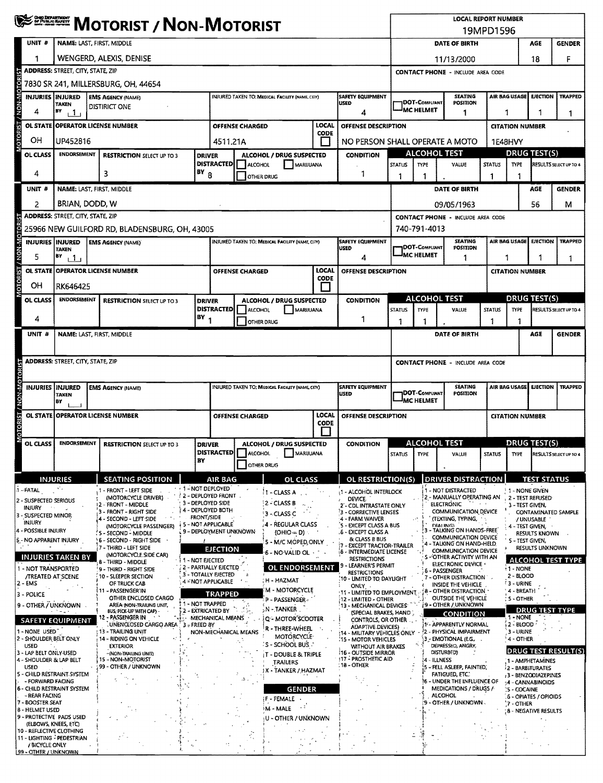|                                     |                | <b>WEST MOTORIST / NON-MOTORIST</b>                                                       |             |                                                                   |                            |                                              |                                                             |                        |                                                        |                      | <b>LOCAL REPORT NUMBER</b>                                         |                                                                    |                                              |                                                                        |                                                                           |                                                                                                                                                                                                                                                                                                                                                                                                                                                                                                                                                                                                                                                                                                                    |                                   |                                                            |                                           |                                         |                                                                       |  |  |  |
|-------------------------------------|----------------|-------------------------------------------------------------------------------------------|-------------|-------------------------------------------------------------------|----------------------------|----------------------------------------------|-------------------------------------------------------------|------------------------|--------------------------------------------------------|----------------------|--------------------------------------------------------------------|--------------------------------------------------------------------|----------------------------------------------|------------------------------------------------------------------------|---------------------------------------------------------------------------|--------------------------------------------------------------------------------------------------------------------------------------------------------------------------------------------------------------------------------------------------------------------------------------------------------------------------------------------------------------------------------------------------------------------------------------------------------------------------------------------------------------------------------------------------------------------------------------------------------------------------------------------------------------------------------------------------------------------|-----------------------------------|------------------------------------------------------------|-------------------------------------------|-----------------------------------------|-----------------------------------------------------------------------|--|--|--|
| UNIT #                              |                | NAME: LAST, FIRST, MIDDLE                                                                 |             |                                                                   |                            |                                              |                                                             |                        |                                                        |                      |                                                                    |                                                                    |                                              | DATE OF BIRTH                                                          | <b>GENDER</b><br>AGE                                                      |                                                                                                                                                                                                                                                                                                                                                                                                                                                                                                                                                                                                                                                                                                                    |                                   |                                                            |                                           |                                         |                                                                       |  |  |  |
|                                     |                |                                                                                           |             | WENGERD, ALEXIS, DENISE                                           |                            |                                              |                                                             |                        |                                                        |                      |                                                                    |                                                                    |                                              |                                                                        |                                                                           |                                                                                                                                                                                                                                                                                                                                                                                                                                                                                                                                                                                                                                                                                                                    |                                   |                                                            |                                           |                                         |                                                                       |  |  |  |
|                                     |                | <b>ADDRESS: STREET, CITY, STATE, ZIP</b>                                                  |             |                                                                   |                            |                                              |                                                             |                        |                                                        |                      |                                                                    |                                                                    |                                              |                                                                        |                                                                           |                                                                                                                                                                                                                                                                                                                                                                                                                                                                                                                                                                                                                                                                                                                    |                                   |                                                            |                                           |                                         | F<br><b>TRAPPED</b><br>1<br><b>GENDER</b><br>Μ<br><b>TRAPPED</b><br>1 |  |  |  |
| <b>TOR</b>                          |                | 7830 SR 241, MILLERSBURG, OH, 44654                                                       |             |                                                                   |                            |                                              |                                                             |                        |                                                        |                      |                                                                    |                                                                    |                                              |                                                                        |                                                                           |                                                                                                                                                                                                                                                                                                                                                                                                                                                                                                                                                                                                                                                                                                                    |                                   |                                                            |                                           |                                         |                                                                       |  |  |  |
| <b>MON-MC</b>                       |                | INJURIES INJURED<br>TAKEN                                                                 |             | <b>EMS AGENCY (NAME)</b>                                          |                            |                                              |                                                             |                        | INJURED TAKEN TO: MEDICAL FACILITY (NAME, CITY)        |                      |                                                                    | SAFETY EQUIPMENT<br>USED                                           |                                              |                                                                        | <b>JDOT-COMPLIANT</b>                                                     | <b>SEATING</b><br><b>POSITION</b>                                                                                                                                                                                                                                                                                                                                                                                                                                                                                                                                                                                                                                                                                  |                                   |                                                            |                                           |                                         |                                                                       |  |  |  |
| 4                                   |                | BY<br>11                                                                                  |             | DISTIRICT ONE                                                     |                            |                                              |                                                             |                        |                                                        |                      |                                                                    | 4                                                                  |                                              | <sup>I</sup> MC HELMET                                                 |                                                                           | 19MPD1596<br>18<br>11/13/2000<br><b>CONTACT PHONE - INCLUDE AREA CODE</b><br>AIR BAG USAGE<br><b>EJECTION</b><br>1<br>1<br>1<br><b>CITATION NUMBER</b><br>1E48HVY<br>DRUG TEST(S)<br><b>STATUS</b><br><b>TYPE</b><br>RESULTS SELECT UP TO 4<br>VALUE<br>1<br>AGE<br>56<br><b>CONTACT PHONE - INCLUDE AREA CODE</b><br><b>SEATING</b><br>AIR BAG USAGE<br>EJECTION<br><b>POSITION</b><br>1<br>1<br><b>CITATION NUMBER</b><br><b>ALCOHOL TEST</b><br><b>DRUG TEST(S)</b><br><b>STATUS</b><br>VALUE<br><b>TYPE</b><br>RESULTS SELECT UP TO 4<br>1<br>1<br>AGE<br><b>CONTACT PHONE - INCLUDE AREA CODE</b><br><b>SEATING</b><br>AIR BAG USAGE<br><b>EJECTION</b><br>POSITION<br><b>CITATION NUMBER</b><br>DRUG TEST(S) |                                   |                                                            |                                           |                                         |                                                                       |  |  |  |
| <b>USIST</b>                        |                | LOCAL<br><b>OL STATE OPERATOR LICENSE NUMBER</b><br><b>OFFENSE CHARGED</b><br><b>CODE</b> |             |                                                                   |                            |                                              |                                                             |                        |                                                        | OFFENSE DESCRIPTION  |                                                                    |                                                                    |                                              |                                                                        |                                                                           |                                                                                                                                                                                                                                                                                                                                                                                                                                                                                                                                                                                                                                                                                                                    |                                   |                                                            |                                           |                                         |                                                                       |  |  |  |
| ОH                                  |                | UP452816                                                                                  | 4511,21A    |                                                                   |                            |                                              |                                                             |                        |                                                        |                      |                                                                    | NO PERSON SHALL OPERATE A MOTO                                     |                                              |                                                                        |                                                                           |                                                                                                                                                                                                                                                                                                                                                                                                                                                                                                                                                                                                                                                                                                                    |                                   |                                                            |                                           |                                         |                                                                       |  |  |  |
| OL CLASS                            |                | ENDORSEMENT                                                                               |             | <b>RESTRICTION SELECT UP TO 3</b>                                 |                            | <b>DRIVER</b><br><b>DISTRACTED</b>           |                                                             | ALCOHOL                | <b>ALCOHOL / DRUG SUSPECTED</b>                        | MARIJUANA            |                                                                    | <b>CONDITION</b>                                                   | ALCOHOL TEST<br><b>STATUS</b><br><b>TYPE</b> |                                                                        |                                                                           |                                                                                                                                                                                                                                                                                                                                                                                                                                                                                                                                                                                                                                                                                                                    |                                   |                                                            |                                           |                                         |                                                                       |  |  |  |
| 4                                   |                |                                                                                           | $BY_8$<br>3 |                                                                   |                            |                                              |                                                             |                        | OTHER DRUG                                             |                      |                                                                    | 1                                                                  | 1                                            | 1                                                                      |                                                                           |                                                                                                                                                                                                                                                                                                                                                                                                                                                                                                                                                                                                                                                                                                                    |                                   |                                                            |                                           |                                         |                                                                       |  |  |  |
| UNIT #                              |                |                                                                                           |             | NAME: LAST, FIRST, MIDDLE                                         |                            |                                              |                                                             |                        |                                                        |                      |                                                                    |                                                                    |                                              |                                                                        |                                                                           | DATE OF BIRTH                                                                                                                                                                                                                                                                                                                                                                                                                                                                                                                                                                                                                                                                                                      |                                   |                                                            |                                           |                                         |                                                                       |  |  |  |
|                                     |                | BRIAN, DODD, W                                                                            |             |                                                                   |                            |                                              |                                                             |                        |                                                        |                      |                                                                    |                                                                    |                                              |                                                                        |                                                                           | 09/05/1963                                                                                                                                                                                                                                                                                                                                                                                                                                                                                                                                                                                                                                                                                                         |                                   |                                                            |                                           |                                         |                                                                       |  |  |  |
|                                     |                | ADDRESS: STREET, CITY, STATE, ZIP                                                         |             |                                                                   |                            |                                              |                                                             |                        |                                                        |                      |                                                                    |                                                                    |                                              |                                                                        |                                                                           |                                                                                                                                                                                                                                                                                                                                                                                                                                                                                                                                                                                                                                                                                                                    |                                   |                                                            |                                           |                                         |                                                                       |  |  |  |
| / NON-MOTOR                         |                |                                                                                           |             | 25966 NEW GUILFORD RD, BLADENSBURG, OH, 43005                     |                            |                                              |                                                             |                        |                                                        |                      |                                                                    |                                                                    | 740-791-4013                                 |                                                                        |                                                                           |                                                                                                                                                                                                                                                                                                                                                                                                                                                                                                                                                                                                                                                                                                                    |                                   |                                                            |                                           |                                         |                                                                       |  |  |  |
|                                     |                | <b>INJURIES INJURED</b><br><b>TAKEN</b>                                                   |             | <b>EMS AGENCY (NAME)</b>                                          |                            |                                              |                                                             |                        | <b>INJURED TAKEN TO: MEDICAL FACILITY (NAME, CITY)</b> |                      |                                                                    | <b>SAFETY EQUIPMENT</b><br>USED                                    |                                              |                                                                        | <b>DOT-COMPLIANT</b>                                                      |                                                                                                                                                                                                                                                                                                                                                                                                                                                                                                                                                                                                                                                                                                                    |                                   |                                                            |                                           |                                         |                                                                       |  |  |  |
| 5                                   |                | BY<br>$\mathbf{1}$                                                                        |             |                                                                   |                            |                                              |                                                             |                        |                                                        |                      |                                                                    | 4                                                                  |                                              | <b>IMC HELMET</b>                                                      |                                                                           |                                                                                                                                                                                                                                                                                                                                                                                                                                                                                                                                                                                                                                                                                                                    |                                   |                                                            |                                           |                                         |                                                                       |  |  |  |
| <b>OTORIST</b><br><b>OL STATE</b>   |                |                                                                                           |             | <b>OPERATOR LICENSE NUMBER</b>                                    |                            |                                              |                                                             | <b>OFFENSE CHARGED</b> |                                                        | LOCAL<br><b>CODE</b> |                                                                    | OFFENSE DESCRIPTION                                                |                                              |                                                                        |                                                                           |                                                                                                                                                                                                                                                                                                                                                                                                                                                                                                                                                                                                                                                                                                                    |                                   |                                                            |                                           |                                         |                                                                       |  |  |  |
| OН                                  |                | RK646425                                                                                  |             |                                                                   |                            |                                              |                                                             |                        |                                                        |                      |                                                                    |                                                                    |                                              |                                                                        |                                                                           |                                                                                                                                                                                                                                                                                                                                                                                                                                                                                                                                                                                                                                                                                                                    |                                   |                                                            |                                           |                                         |                                                                       |  |  |  |
| OL CLASS                            |                | <b>ENDORSEMENT</b>                                                                        |             | <b>RESTRICTION SELECT UP TO 3</b>                                 |                            | <b>DRIVER</b><br><b>DISTRACTED</b>           |                                                             | <b>ALCOHOL</b>         | ALCOHOL / DRUG SUSPECTED                               | MARUUANA             |                                                                    | <b>CONDITION</b>                                                   | <b>STATUS</b>                                | <b>TYPE</b>                                                            |                                                                           |                                                                                                                                                                                                                                                                                                                                                                                                                                                                                                                                                                                                                                                                                                                    |                                   |                                                            |                                           |                                         |                                                                       |  |  |  |
| 4                                   |                |                                                                                           |             |                                                                   |                            | $(BY_1)$                                     |                                                             |                        | OTHER DRUG                                             |                      |                                                                    | 1                                                                  | 1                                            | 1                                                                      |                                                                           |                                                                                                                                                                                                                                                                                                                                                                                                                                                                                                                                                                                                                                                                                                                    |                                   |                                                            |                                           |                                         |                                                                       |  |  |  |
| UNIT #                              |                |                                                                                           |             | NAME: LAST, FIRST, MIDDLE                                         |                            |                                              |                                                             |                        |                                                        |                      |                                                                    |                                                                    |                                              |                                                                        |                                                                           | DATE OF BIRTH                                                                                                                                                                                                                                                                                                                                                                                                                                                                                                                                                                                                                                                                                                      |                                   |                                                            |                                           |                                         | <b>GENDER</b>                                                         |  |  |  |
|                                     |                |                                                                                           |             |                                                                   |                            |                                              |                                                             |                        |                                                        |                      |                                                                    |                                                                    |                                              |                                                                        |                                                                           |                                                                                                                                                                                                                                                                                                                                                                                                                                                                                                                                                                                                                                                                                                                    |                                   |                                                            |                                           |                                         |                                                                       |  |  |  |
|                                     |                | <b>ADDRESS: STREET, CITY, STATE, ZIP</b>                                                  |             |                                                                   |                            |                                              |                                                             |                        |                                                        |                      |                                                                    |                                                                    |                                              |                                                                        |                                                                           |                                                                                                                                                                                                                                                                                                                                                                                                                                                                                                                                                                                                                                                                                                                    |                                   |                                                            |                                           |                                         |                                                                       |  |  |  |
|                                     |                |                                                                                           |             |                                                                   |                            |                                              |                                                             |                        |                                                        |                      |                                                                    | <b>SAFETY EQUIPMENT</b>                                            |                                              |                                                                        |                                                                           |                                                                                                                                                                                                                                                                                                                                                                                                                                                                                                                                                                                                                                                                                                                    |                                   |                                                            |                                           |                                         | <b>TRAPPED</b>                                                        |  |  |  |
|                                     |                | INJURIES INJURED<br><b>TAKEN</b><br>BY                                                    |             | <b>EMS AGENCY (NAME)</b>                                          |                            |                                              |                                                             |                        | INJURED TAKEN TO; MEDICAL FACILITY (NAME, CITY)        |                      |                                                                    | <b>USED</b>                                                        | DOT-COMPLIANT<br>MC HELMET                   |                                                                        |                                                                           |                                                                                                                                                                                                                                                                                                                                                                                                                                                                                                                                                                                                                                                                                                                    |                                   |                                                            |                                           |                                         |                                                                       |  |  |  |
| MOTORIST / NON-MOTORIST             |                |                                                                                           |             | OL STATE OPERATOR LICENSE NUMBER                                  |                            |                                              |                                                             | <b>OFFENSE CHARGED</b> |                                                        | <b>LOCAL</b>         |                                                                    | OFFENSE DESCRIPTION                                                |                                              |                                                                        |                                                                           |                                                                                                                                                                                                                                                                                                                                                                                                                                                                                                                                                                                                                                                                                                                    |                                   |                                                            |                                           |                                         |                                                                       |  |  |  |
|                                     |                |                                                                                           |             |                                                                   |                            |                                              |                                                             |                        |                                                        | CODE                 |                                                                    |                                                                    |                                              |                                                                        |                                                                           |                                                                                                                                                                                                                                                                                                                                                                                                                                                                                                                                                                                                                                                                                                                    |                                   |                                                            |                                           |                                         |                                                                       |  |  |  |
| OL CLASS                            |                | <b>ENDORSEMENT</b>                                                                        |             | <b>RESTRICTION SELECT UP TO 3</b>                                 |                            | <b>DRIVER</b>                                |                                                             |                        | ALCOHOL / DRUG SUSPECTED                               |                      |                                                                    | <b>CONDITION</b>                                                   | <b>ALCOHOL TEST</b>                          |                                                                        |                                                                           |                                                                                                                                                                                                                                                                                                                                                                                                                                                                                                                                                                                                                                                                                                                    |                                   |                                                            |                                           |                                         |                                                                       |  |  |  |
|                                     |                |                                                                                           |             |                                                                   |                            | <b>DISTRACTED</b><br>ΒY                      |                                                             | ALCOHOL                |                                                        | MARUUANA             |                                                                    |                                                                    | STATUS TYPE                                  |                                                                        |                                                                           | VALUE                                                                                                                                                                                                                                                                                                                                                                                                                                                                                                                                                                                                                                                                                                              | STATUS                            |                                                            |                                           |                                         | TYPE RESULTS SELECT UP TO 4                                           |  |  |  |
|                                     |                |                                                                                           |             |                                                                   |                            |                                              |                                                             |                        | <b>OTHER DRUG</b>                                      |                      |                                                                    |                                                                    |                                              |                                                                        |                                                                           |                                                                                                                                                                                                                                                                                                                                                                                                                                                                                                                                                                                                                                                                                                                    |                                   |                                                            |                                           |                                         |                                                                       |  |  |  |
| 1 - FATAL                           |                | <b>INJURIES</b>                                                                           |             | <b>SEATING POSITION</b><br>- FRONT - LEFT SIDE                    |                            | $\cdot$ 1 - NOT DEPLOYED                     | <b>AIR BAG</b>                                              |                        |                                                        | <b>OL CLASS</b>      |                                                                    | OL RESTRICTION(S)<br>1 - ALCOHOL INTERLOCK                         |                                              |                                                                        |                                                                           | <b>DRIVER DISTRACTION</b><br>1 - NOT DISTRACTED                                                                                                                                                                                                                                                                                                                                                                                                                                                                                                                                                                                                                                                                    |                                   |                                                            | 1 - NONE GIVEN                            | <b>TEST STATUS</b>                      |                                                                       |  |  |  |
| 2 - SUSPECTED SERIOUS               |                |                                                                                           |             | (MOTORCYCLE DRIVER)<br>2 - FRONT - MIDDLE                         |                            | 2 - DEPLOYED FRONT<br>3 - DEPLOYED SIDE      |                                                             |                        | 11 - CLASS A<br>2 - CLASS B                            |                      |                                                                    | DEVICE.<br>2' - CDL INTRASTATE ONLY                                |                                              |                                                                        |                                                                           | 2 - MANUALLY OPERATING AN<br><b>ELECTRONIC</b>                                                                                                                                                                                                                                                                                                                                                                                                                                                                                                                                                                                                                                                                     |                                   |                                                            | 3 - TEST GIVEN,                           | 2 - TEST REFUSED                        |                                                                       |  |  |  |
| INJURY<br>3 - SUSPECTED MINOR       | $\sim$ $\sim$  |                                                                                           |             | 3 - FRONT - RIGHT SIDE<br>4 - SECOND - LEFT SIDE                  |                            | <b>FRONT/SIDE</b>                            | 4 - DEPLOYED BOTH<br>3 - CLASS C                            |                        |                                                        |                      |                                                                    | 3 - CORRECTIVE LENSES<br>4 - FARM WAIVER<br>o,                     |                                              |                                                                        |                                                                           | COMMUNICATION DEVICE<br>(TEXTING, TYPING,                                                                                                                                                                                                                                                                                                                                                                                                                                                                                                                                                                                                                                                                          |                                   |                                                            | CONTAMINATED SAMPLE<br>/ UNUSABLE         |                                         |                                                                       |  |  |  |
| INJURY<br>4 - POSSIBLE INJURY       |                |                                                                                           |             | (MOTORCYCLE PASSENGER)<br>S - SECOND - MIDDLE                     |                            | 5 - NOT APPLICABLE                           | 4 - REGULAR CLASS<br>9 - DEPLOYMENT UNKNOWN<br>$(OHIO = D)$ |                        |                                                        |                      |                                                                    | S - EXCEPT CLASS A BUS<br>.6 - EXCEPT CLASS A                      | <b>DIALING</b><br>- TALKING ON HANDS-FREE    |                                                                        |                                                                           |                                                                                                                                                                                                                                                                                                                                                                                                                                                                                                                                                                                                                                                                                                                    |                                   | 4 - TEST GIVEN,<br><b>RESULTS KNOWN</b>                    |                                           |                                         |                                                                       |  |  |  |
|                                     |                | 5 - NO APPARENT INJURY                                                                    |             | S - SECOND - RIGHT SIDE<br>7 - THIRD - LEFT SIDE                  |                            |                                              | 5 - M/C MOPED, ONLY<br><b>EJECTION</b>                      |                        |                                                        |                      |                                                                    | & CLASS B BUS<br>- EXCEPT TRACTOR-TRAILER                          |                                              |                                                                        | <b>COMMUNICATION DEVICE</b><br>4 - TALKING ON HAND-HELD                   |                                                                                                                                                                                                                                                                                                                                                                                                                                                                                                                                                                                                                                                                                                                    |                                   |                                                            | 5 - TEST GIVEN,<br><b>RESULTS UNKNOWN</b> |                                         |                                                                       |  |  |  |
|                                     |                | <b>INJURIES TAKEN BY</b>                                                                  |             | (MOTORCYCLE.SIDE CAR)<br>8 - THIRD - MIDDLE                       |                            | 1 - NOT EJECTED                              | 6 - NO VALID OL                                             |                        |                                                        |                      |                                                                    | 8 - INTERMEDIATE LICENSE<br><b>RESTRICTIONS</b>                    |                                              |                                                                        | COMMUNICATION DEVICE<br>S - OTHER ACTIVITY WITH AN<br>ELECTRONIC DEVICE - |                                                                                                                                                                                                                                                                                                                                                                                                                                                                                                                                                                                                                                                                                                                    |                                   | ALCOHOL TEST TYPE                                          |                                           |                                         |                                                                       |  |  |  |
|                                     |                | 1 - NOT TRANSPORTED<br><b>/TREATED AT SCENE</b>                                           |             | 9 - THIRD - RIGHT SIDE<br>10 - SLEEPER SECTION                    |                            | 2 - PARTIALLY EJECTED<br>3 - TOTALLY EJECTED |                                                             |                        |                                                        | OL ENDORSEMENT       |                                                                    | - LEARNER'S PERMIT<br>RESTRICTIONS                                 |                                              |                                                                        |                                                                           | 6 - PASSENGER<br>7 - OTHER DISTRACTION                                                                                                                                                                                                                                                                                                                                                                                                                                                                                                                                                                                                                                                                             |                                   |                                                            | $1 - NONE$<br>2 - BLOOD                   |                                         |                                                                       |  |  |  |
| 2 - EMS                             |                |                                                                                           |             | OF TRUCK CAB<br>i 11 - PASSENGER'IN                               |                            |                                              | <b>H - HAZMAT</b><br>4 - NOT APPLICABLE<br>M - MOTORCYCLE   |                        |                                                        |                      | (10 - LIMITED TO DAYLIGHT<br>ONLY -<br>'11 - LIMITED TO EMPLOYMENT |                                                                    |                                              | INSIDE THE VEHICLE<br><b>B - OTHER DISTRACTION</b>                     |                                                                           |                                                                                                                                                                                                                                                                                                                                                                                                                                                                                                                                                                                                                                                                                                                    | <b>3-URINE</b><br>' 4 - BREATH    |                                                            |                                           |                                         |                                                                       |  |  |  |
| 3 - POLICE                          |                | 9 - OTHER / UNKNOWN                                                                       |             | OTHER ENCLOSED CARGO<br>AREA INON-TRAIUNG UNIT.                   |                            | 1 - NOT TRAPPED                              | TRAPPED                                                     |                        | P - PASSENGER-                                         |                      |                                                                    | 12 - LIMITED - OTHER<br>13 - MECHANICAL DEVICES <sup>.</sup>       |                                              |                                                                        |                                                                           | OUTSIDE THE VEHICLE<br>∲9 - OTHER / UNKNOWN                                                                                                                                                                                                                                                                                                                                                                                                                                                                                                                                                                                                                                                                        |                                   |                                                            | S - OTHER                                 |                                         |                                                                       |  |  |  |
|                                     |                | <b>SAFETY EQUIPMENT</b>                                                                   |             | BUS; PICK-UP WITH CAP) -<br>12 - PASSENGER IN                     |                            | 2 - EXTRICATED BY<br>MECHANICAL MEANS        |                                                             |                        | $5N - TANKER$ .<br>Q - MOTOR SCOOTER                   |                      |                                                                    | (SPECIAL BRAKES, HAND)<br>CONTROLS, OR OTHER                       | <b>CONDITION</b>                             |                                                                        |                                                                           |                                                                                                                                                                                                                                                                                                                                                                                                                                                                                                                                                                                                                                                                                                                    | <b>DRUG TEST TYPE</b><br>1 - NONE |                                                            |                                           |                                         |                                                                       |  |  |  |
| 1 - NONE USED                       |                |                                                                                           |             | UNENCLOSED CARGO AREA<br>13 - TRAILING UNIT                       | $\frac{1}{2}$ 3 = FREED BY |                                              |                                                             | NON-MECHANICAL MEANS   | R - THREE-WHEEL<br>MOTORCYCLE-                         |                      |                                                                    | ADAPTIVE DEVICES)<br>14 - MILITARY VEHICLES ONLY                   |                                              | 1- APPARENTLY NORMAL<br>2 - PHYSICAL IMPAIRMENT                        |                                                                           |                                                                                                                                                                                                                                                                                                                                                                                                                                                                                                                                                                                                                                                                                                                    |                                   |                                                            | 2 - BLOOD<br>3 - URINE                    |                                         |                                                                       |  |  |  |
| <b>USED</b>                         |                | 2 - SHOULDER BELT ONLY                                                                    |             | 14 - RIDING ON VEHICLE<br><b>EXTERIOR</b>                         |                            |                                              |                                                             |                        | 'S - SCHOOL BUS                                        |                      |                                                                    | :15 - MOTOR VEHICLES<br>WITHOUT AIR BRAKES<br>116 - OUTSIDE MIRROR |                                              |                                                                        |                                                                           | 3 - EMOTIONAL (E.G.,<br>DEPRESSED, ANGRY,<br>DISTURBED)                                                                                                                                                                                                                                                                                                                                                                                                                                                                                                                                                                                                                                                            |                                   |                                                            | 4 - OTHER                                 |                                         | <b>DRUG TEST RESULT(S)</b>                                            |  |  |  |
| 3 - LAP BELT ONLY USED<br>USED      |                | 4 - SHOULDER & LAP BELT                                                                   |             | -(NON-TRAILING UNIT)<br>15 - NON-MOTORIST<br>99 - OTHER / UNKNOWN |                            |                                              |                                                             |                        | <b>IT - DOUBLE &amp; TRIPLE</b><br><b>TRAILERS</b>     |                      |                                                                    | 117 - PROSTHETIC AID<br>:18 - OTHER                                |                                              |                                                                        | 4 - ILLNESS                                                               | 5 - FELL ASLEEP, FAINTED,                                                                                                                                                                                                                                                                                                                                                                                                                                                                                                                                                                                                                                                                                          |                                   |                                                            |                                           | 1 - AMPHETAMINES                        |                                                                       |  |  |  |
|                                     |                | 5 - CHILD RESTRAINT SYSTEM<br>- FORWARD FACING                                            |             |                                                                   |                            |                                              |                                                             |                        | X - TANKER / HAZMAT                                    |                      |                                                                    |                                                                    |                                              |                                                                        |                                                                           | <b>FATIGUED, ETC.</b>                                                                                                                                                                                                                                                                                                                                                                                                                                                                                                                                                                                                                                                                                              |                                   |                                                            |                                           | 2 - BARBITURATES<br>3 - BENZODIAZEPINES |                                                                       |  |  |  |
| - REAR FACING                       |                | 6 - CHILD RESTRAINT SYSTEM                                                                |             |                                                                   |                            |                                              |                                                             |                        |                                                        | <b>GENDER</b>        |                                                                    |                                                                    |                                              | 16 – UNDER THE INFLUENCE OF<br>MEDICATIONS / DRUGS /<br><b>ALCOHOL</b> |                                                                           |                                                                                                                                                                                                                                                                                                                                                                                                                                                                                                                                                                                                                                                                                                                    |                                   | 34 - CANNABINOIDS<br>:5 - COCAINE<br>6 - OPIATES / OPIOIDS |                                           |                                         |                                                                       |  |  |  |
| 7 - BOOSTER SEAT<br>8 - HELMET USED |                |                                                                                           |             |                                                                   |                            |                                              |                                                             |                        | if - FEMALE<br>M - MALE                                |                      |                                                                    |                                                                    |                                              |                                                                        |                                                                           | 9 - OTHER / UNKNOWN                                                                                                                                                                                                                                                                                                                                                                                                                                                                                                                                                                                                                                                                                                |                                   |                                                            | `7 - OTHER                                |                                         |                                                                       |  |  |  |
|                                     |                | 9 - PROTECTIVE PADS USED<br>(ELBOWS, KNEES, ETC)                                          |             |                                                                   |                            |                                              |                                                             |                        | (U - OTHER / UNKNOWN                                   |                      |                                                                    |                                                                    |                                              |                                                                        |                                                                           |                                                                                                                                                                                                                                                                                                                                                                                                                                                                                                                                                                                                                                                                                                                    |                                   |                                                            |                                           | ; 8 - NEGATIVE RESULTS                  |                                                                       |  |  |  |
|                                     |                | 10 - REFLECTIVE CLOTHING<br>11 - LIGHTING - PEDESTRIAN                                    |             |                                                                   |                            |                                              |                                                             |                        |                                                        |                      |                                                                    |                                                                    |                                              |                                                                        |                                                                           |                                                                                                                                                                                                                                                                                                                                                                                                                                                                                                                                                                                                                                                                                                                    |                                   |                                                            |                                           |                                         |                                                                       |  |  |  |
| 199 - OTHER / UNKNOWN               | / BICYCLE ONLY |                                                                                           |             |                                                                   |                            |                                              |                                                             |                        |                                                        |                      |                                                                    |                                                                    |                                              |                                                                        |                                                                           |                                                                                                                                                                                                                                                                                                                                                                                                                                                                                                                                                                                                                                                                                                                    |                                   |                                                            |                                           |                                         |                                                                       |  |  |  |